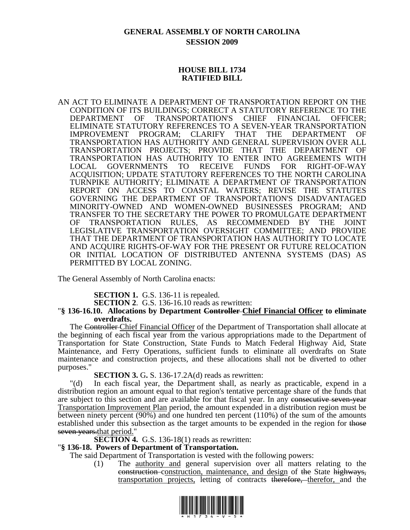## **GENERAL ASSEMBLY OF NORTH CAROLINA SESSION 2009**

### **HOUSE BILL 1734 RATIFIED BILL**

AN ACT TO ELIMINATE A DEPARTMENT OF TRANSPORTATION REPORT ON THE CONDITION OF ITS BUILDINGS; CORRECT A STATUTORY REFERENCE TO THE DEPARTMENT OF TRANSPORTATION'S CHIEF FINANCIAL OFFICER; ELIMINATE STATUTORY REFERENCES TO A SEVEN-YEAR TRANSPORTATION IMPROVEMENT PROGRAM; CLARIFY THAT THE DEPARTMENT OF TRANSPORTATION HAS AUTHORITY AND GENERAL SUPERVISION OVER ALL TRANSPORTATION PROJECTS; PROVIDE THAT THE DEPARTMENT OF TRANSPORTATION HAS AUTHORITY TO ENTER INTO AGREEMENTS WITH LOCAL GOVERNMENTS TO RECEIVE FUNDS FOR RIGHT-OF-WAY ACQUISITION; UPDATE STATUTORY REFERENCES TO THE NORTH CAROLINA TURNPIKE AUTHORITY; ELIMINATE A DEPARTMENT OF TRANSPORTATION REPORT ON ACCESS TO COASTAL WATERS; REVISE THE STATUTES GOVERNING THE DEPARTMENT OF TRANSPORTATION'S DISADVANTAGED MINORITY-OWNED AND WOMEN-OWNED BUSINESSES PROGRAM; AND TRANSFER TO THE SECRETARY THE POWER TO PROMULGATE DEPARTMENT OF TRANSPORTATION RULES, AS RECOMMENDED BY THE JOINT LEGISLATIVE TRANSPORTATION OVERSIGHT COMMITTEE; AND PROVIDE THAT THE DEPARTMENT OF TRANSPORTATION HAS AUTHORITY TO LOCATE AND ACQUIRE RIGHTS-OF-WAY FOR THE PRESENT OR FUTURE RELOCATION OR INITIAL LOCATION OF DISTRIBUTED ANTENNA SYSTEMS (DAS) AS PERMITTED BY LOCAL ZONING.

The General Assembly of North Carolina enacts:

**SECTION 1.** G.S. 136-11 is repealed.

**SECTION 2**. G.S. 136-16.10 reads as rewritten:

#### "**§ 136-16.10. Allocations by Department Controller Chief Financial Officer to eliminate overdrafts.**

The Controller Chief Financial Officer of the Department of Transportation shall allocate at the beginning of each fiscal year from the various appropriations made to the Department of Transportation for State Construction, State Funds to Match Federal Highway Aid, State Maintenance, and Ferry Operations, sufficient funds to eliminate all overdrafts on State maintenance and construction projects, and these allocations shall not be diverted to other purposes."

**SECTION 3. G. S.** 136-17.2A(d) reads as rewritten:

"(d) In each fiscal year, the Department shall, as nearly as practicable, expend in a distribution region an amount equal to that region's tentative percentage share of the funds that are subject to this section and are available for that fiscal year. In any consecutive seven-year Transportation Improvement Plan period, the amount expended in a distribution region must be between ninety percent (90%) and one hundred ten percent (110%) of the sum of the amounts established under this subsection as the target amounts to be expended in the region for those seven years, that period."

**SECTION 4.** G.S. 136-18(1) reads as rewritten:

#### "**§ 136-18. Powers of Department of Transportation.**

The said Department of Transportation is vested with the following powers:

(1) The authority and general supervision over all matters relating to the construction construction, maintenance, and design of the State highways, transportation projects, letting of contracts therefore, therefor, and the

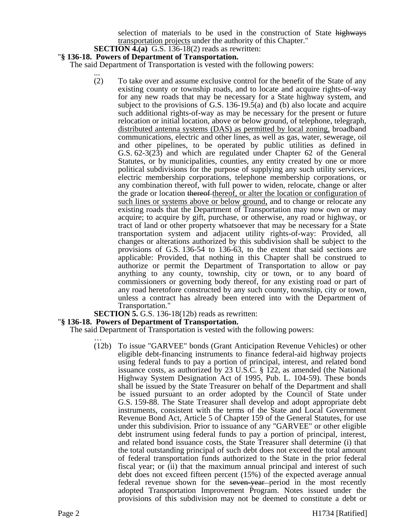selection of materials to be used in the construction of State highways transportation projects under the authority of this Chapter."

#### **SECTION 4.(a)** G.S. 136-18(2) reads as rewritten:

#### "**§ 136-18. Powers of Department of Transportation.**

The said Department of Transportation is vested with the following powers:

... (2) To take over and assume exclusive control for the benefit of the State of any existing county or township roads, and to locate and acquire rights-of-way for any new roads that may be necessary for a State highway system, and subject to the provisions of G.S. 136-19.5(a) and (b) also locate and acquire such additional rights-of-way as may be necessary for the present or future relocation or initial location, above or below ground, of telephone, telegraph, distributed antenna systems (DAS) as permitted by local zoning, broadband communications, electric and other lines, as well as gas, water, sewerage, oil and other pipelines, to be operated by public utilities as defined in G.S. 62-3(23) and which are regulated under Chapter 62 of the General Statutes, or by municipalities, counties, any entity created by one or more political subdivisions for the purpose of supplying any such utility services, electric membership corporations, telephone membership corporations, or any combination thereof, with full power to widen, relocate, change or alter the grade or location thereof thereof, or alter the location or configuration of such lines or systems above or below ground, and to change or relocate any existing roads that the Department of Transportation may now own or may acquire; to acquire by gift, purchase, or otherwise, any road or highway, or tract of land or other property whatsoever that may be necessary for a State transportation system and adjacent utility rights-of-way: Provided, all changes or alterations authorized by this subdivision shall be subject to the provisions of G.S. 136-54 to 136-63, to the extent that said sections are applicable: Provided, that nothing in this Chapter shall be construed to authorize or permit the Department of Transportation to allow or pay anything to any county, township, city or town, or to any board of commissioners or governing body thereof, for any existing road or part of any road heretofore constructed by any such county, township, city or town, unless a contract has already been entered into with the Department of Transportation."<br>**SECTION 5.** G.S. 136-18(12b) reads as rewritten:

#### **"§ 136-18. Powers of Department of Transportation.**

The said Department of Transportation is vested with the following powers:

(12b) To issue "GARVEE" bonds (Grant Anticipation Revenue Vehicles) or other eligible debt-financing instruments to finance federal-aid highway projects using federal funds to pay a portion of principal, interest, and related bond issuance costs, as authorized by 23 U.S.C. § 122, as amended (the National Highway System Designation Act of 1995, Pub. L. 104-59). These bonds shall be issued by the State Treasurer on behalf of the Department and shall be issued pursuant to an order adopted by the Council of State under G.S. 159-88. The State Treasurer shall develop and adopt appropriate debt instruments, consistent with the terms of the State and Local Government Revenue Bond Act, Article 5 of Chapter 159 of the General Statutes, for use under this subdivision. Prior to issuance of any "GARVEE" or other eligible debt instrument using federal funds to pay a portion of principal, interest, and related bond issuance costs, the State Treasurer shall determine (i) that the total outstanding principal of such debt does not exceed the total amount of federal transportation funds authorized to the State in the prior federal fiscal year; or (ii) that the maximum annual principal and interest of such debt does not exceed fifteen percent (15%) of the expected average annual federal revenue shown for the seven-year period in the most recently adopted Transportation Improvement Program. Notes issued under the provisions of this subdivision may not be deemed to constitute a debt or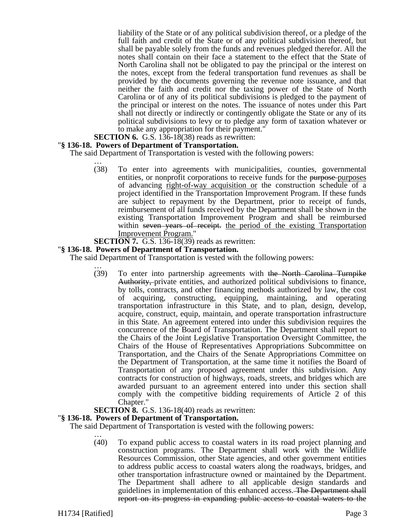liability of the State or of any political subdivision thereof, or a pledge of the full faith and credit of the State or of any political subdivision thereof, but shall be payable solely from the funds and revenues pledged therefor. All the notes shall contain on their face a statement to the effect that the State of North Carolina shall not be obligated to pay the principal or the interest on the notes, except from the federal transportation fund revenues as shall be provided by the documents governing the revenue note issuance, and that neither the faith and credit nor the taxing power of the State of North Carolina or of any of its political subdivisions is pledged to the payment of the principal or interest on the notes. The issuance of notes under this Part shall not directly or indirectly or contingently obligate the State or any of its political subdivisions to levy or to pledge any form of taxation whatever or to make any appropriation for their payment."

**SECTION 6.** G.S. 136-18(38) reads as rewritten:

#### "**§ 136-18. Powers of Department of Transportation.**

The said Department of Transportation is vested with the following powers:

- … (38) To enter into agreements with municipalities, counties, governmental entities, or nonprofit corporations to receive funds for the purpose-purposes of advancing right-of-way acquisition or the construction schedule of a project identified in the Transportation Improvement Program. If these funds are subject to repayment by the Department, prior to receipt of funds, reimbursement of all funds received by the Department shall be shown in the existing Transportation Improvement Program and shall be reimbursed within seven years of receipt. the period of the existing Transportation Improvement Program."
- **SECTION 7.** G.S. 136-18(39) reads as rewritten:

#### "**§ 136-18. Powers of Department of Transportation.**

The said Department of Transportation is vested with the following powers:

… (39) To enter into partnership agreements with the North Carolina Turnpike Authority, private entities, and authorized political subdivisions to finance, by tolls, contracts, and other financing methods authorized by law, the cost of acquiring, constructing, equipping, maintaining, and operating transportation infrastructure in this State, and to plan, design, develop, acquire, construct, equip, maintain, and operate transportation infrastructure in this State. An agreement entered into under this subdivision requires the concurrence of the Board of Transportation. The Department shall report to the Chairs of the Joint Legislative Transportation Oversight Committee, the Chairs of the House of Representatives Appropriations Subcommittee on Transportation, and the Chairs of the Senate Appropriations Committee on the Department of Transportation, at the same time it notifies the Board of Transportation of any proposed agreement under this subdivision. Any contracts for construction of highways, roads, streets, and bridges which are awarded pursuant to an agreement entered into under this section shall comply with the competitive bidding requirements of Article 2 of this Chapter."

#### **SECTION 8.** G.S. 136-18(40) reads as rewritten:

#### "**§ 136-18. Powers of Department of Transportation.**

The said Department of Transportation is vested with the following powers:

… (40) To expand public access to coastal waters in its road project planning and construction programs. The Department shall work with the Wildlife Resources Commission, other State agencies, and other government entities to address public access to coastal waters along the roadways, bridges, and other transportation infrastructure owned or maintained by the Department. The Department shall adhere to all applicable design standards and guidelines in implementation of this enhanced access. The Department shall report on its progress in expanding public access to coastal waters to the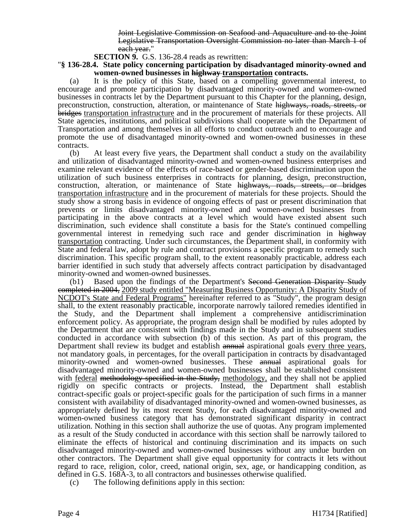Joint Legislative Commission on Seafood and Aquaculture and to the Joint Legislative Transportation Oversight Commission no later than March 1 of each year."

**SECTION 9.** G.S. 136-28.4 reads as rewritten:

"**§ 136-28.4. State policy concerning participation by disadvantaged minority-owned and women-owned businesses in highway transportation contracts.** 

(a) It is the policy of this State, based on a compelling governmental interest, to encourage and promote participation by disadvantaged minority-owned and women-owned businesses in contracts let by the Department pursuant to this Chapter for the planning, design, preconstruction, construction, alteration, or maintenance of State highways, roads, streets, or bridges transportation infrastructure and in the procurement of materials for these projects. All State agencies, institutions, and political subdivisions shall cooperate with the Department of Transportation and among themselves in all efforts to conduct outreach and to encourage and promote the use of disadvantaged minority-owned and women-owned businesses in these contracts.

(b) At least every five years, the Department shall conduct a study on the availability and utilization of disadvantaged minority-owned and women-owned business enterprises and examine relevant evidence of the effects of race-based or gender-based discrimination upon the utilization of such business enterprises in contracts for planning, design, preconstruction, construction, alteration, or maintenance of State highways, roads, streets, or bridges transportation infrastructure and in the procurement of materials for these projects. Should the study show a strong basis in evidence of ongoing effects of past or present discrimination that prevents or limits disadvantaged minority-owned and women-owned businesses from participating in the above contracts at a level which would have existed absent such discrimination, such evidence shall constitute a basis for the State's continued compelling governmental interest in remedying such race and gender discrimination in highway transportation contracting. Under such circumstances, the Department shall, in conformity with State and federal law, adopt by rule and contract provisions a specific program to remedy such discrimination. This specific program shall, to the extent reasonably practicable, address each barrier identified in such study that adversely affects contract participation by disadvantaged minority-owned and women-owned businesses.

(b1) Based upon the findings of the Department's Second Generation Disparity Study completed in 2004, 2009 study entitled "Measuring Business Opportunity: A Disparity Study of NCDOT's State and Federal Programs" hereinafter referred to as "Study", the program design shall, to the extent reasonably practicable, incorporate narrowly tailored remedies identified in the Study, and the Department shall implement a comprehensive antidiscrimination enforcement policy. As appropriate, the program design shall be modified by rules adopted by the Department that are consistent with findings made in the Study and in subsequent studies conducted in accordance with subsection (b) of this section. As part of this program, the Department shall review its budget and establish annual aspirational goals every three years, not mandatory goals, in percentages, for the overall participation in contracts by disadvantaged minority-owned and women-owned businesses. These annual aspirational goals for disadvantaged minority-owned and women-owned businesses shall be established consistent with <u>federal</u> methodology specified in the Study, methodology, and they shall not be applied rigidly on specific contracts or projects. Instead, the Department shall establish contract-specific goals or project-specific goals for the participation of such firms in a manner consistent with availability of disadvantaged minority-owned and women-owned businesses, as appropriately defined by its most recent Study, for each disadvantaged minority-owned and women-owned business category that has demonstrated significant disparity in contract utilization. Nothing in this section shall authorize the use of quotas. Any program implemented as a result of the Study conducted in accordance with this section shall be narrowly tailored to eliminate the effects of historical and continuing discrimination and its impacts on such disadvantaged minority-owned and women-owned businesses without any undue burden on other contractors. The Department shall give equal opportunity for contracts it lets without regard to race, religion, color, creed, national origin, sex, age, or handicapping condition, as defined in G.S. 168A-3, to all contractors and businesses otherwise qualified.

(c) The following definitions apply in this section: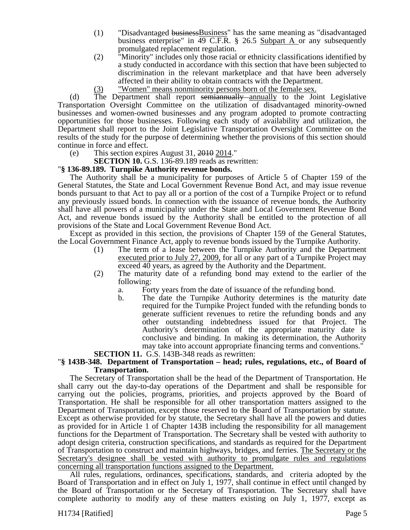- (1) "Disadvantaged businessBusiness" has the same meaning as "disadvantaged business enterprise" in 49 C.F.R. § 26.5 Subpart A or any subsequently promulgated replacement regulation.
- (2) "Minority" includes only those racial or ethnicity classifications identified by a study conducted in accordance with this section that have been subjected to discrimination in the relevant marketplace and that have been adversely affected in their ability to obtain contracts with the Department.
- (3) "Women" means nonminority persons born of the female sex.

(d) The Department shall report semiannually annually to the Joint Legislative Transportation Oversight Committee on the utilization of disadvantaged minority-owned businesses and women-owned businesses and any program adopted to promote contracting opportunities for those businesses. Following each study of availability and utilization, the Department shall report to the Joint Legislative Transportation Oversight Committee on the results of the study for the purpose of determining whether the provisions of this section should continue in force and effect.

(e) This section expires August 31,  $\frac{2010}{2014}$ ."

**SECTION 10.** G.S. 136-89.189 reads as rewritten:

### "**§ 136-89.189. Turnpike Authority revenue bonds.**

The Authority shall be a municipality for purposes of Article 5 of Chapter 159 of the General Statutes, the State and Local Government Revenue Bond Act, and may issue revenue bonds pursuant to that Act to pay all or a portion of the cost of a Turnpike Project or to refund any previously issued bonds. In connection with the issuance of revenue bonds, the Authority shall have all powers of a municipality under the State and Local Government Revenue Bond Act, and revenue bonds issued by the Authority shall be entitled to the protection of all provisions of the State and Local Government Revenue Bond Act.

Except as provided in this section, the provisions of Chapter 159 of the General Statutes, the Local Government Finance Act, apply to revenue bonds issued by the Turnpike Authority.

- (1) The term of a lease between the Turnpike Authority and the Department executed prior to July 27, 2009, for all or any part of a Turnpike Project may exceed 40 years, as agreed by the Authority and the Department.
- (2) The maturity date of a refunding bond may extend to the earlier of the following:
	- a. Forty years from the date of issuance of the refunding bond.
	- b. The date the Turnpike Authority determines is the maturity date required for the Turnpike Project funded with the refunding bonds to generate sufficient revenues to retire the refunding bonds and any other outstanding indebtedness issued for that Project. The Authority's determination of the appropriate maturity date is conclusive and binding. In making its determination, the Authority may take into account appropriate financing terms and conventions."

# **SECTION 11.** G.S. 143B-348 reads as rewritten: "**§ 143B-348. Department of Transportation – head; rules, regulations, etc., of Board of Transportation.**

The Secretary of Transportation shall be the head of the Department of Transportation. He shall carry out the day-to-day operations of the Department and shall be responsible for carrying out the policies, programs, priorities, and projects approved by the Board of Transportation. He shall be responsible for all other transportation matters assigned to the Department of Transportation, except those reserved to the Board of Transportation by statute. Except as otherwise provided for by statute, the Secretary shall have all the powers and duties as provided for in Article 1 of Chapter 143B including the responsibility for all management functions for the Department of Transportation. The Secretary shall be vested with authority to adopt design criteria, construction specifications, and standards as required for the Department of Transportation to construct and maintain highways, bridges, and ferries. The Secretary or the Secretary's designee shall be vested with authority to promulgate rules and regulations concerning all transportation functions assigned to the Department.

All rules, regulations, ordinances, specifications, standards, and criteria adopted by the Board of Transportation and in effect on July 1, 1977, shall continue in effect until changed by the Board of Transportation or the Secretary of Transportation. The Secretary shall have complete authority to modify any of these matters existing on July 1, 1977, except as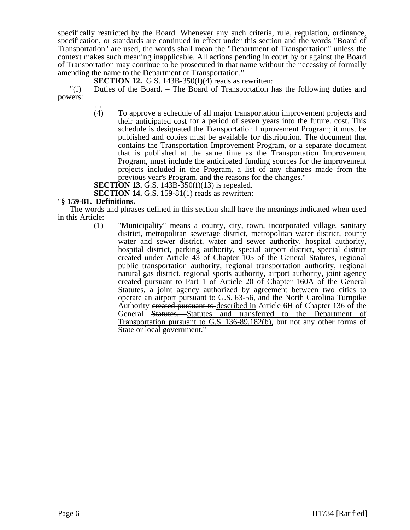specifically restricted by the Board. Whenever any such criteria, rule, regulation, ordinance, specification, or standards are continued in effect under this section and the words "Board of Transportation" are used, the words shall mean the "Department of Transportation" unless the context makes such meaning inapplicable. All actions pending in court by or against the Board of Transportation may continue to be prosecuted in that name without the necessity of formally amending the name to the Department of Transportation."

**SECTION 12.** G.S. 143B-350(f)(4) reads as rewritten:

"(f) Duties of the Board. – The Board of Transportation has the following duties and powers:

… (4) To approve a schedule of all major transportation improvement projects and their anticipated cost for a period of seven years into the future. cost. This schedule is designated the Transportation Improvement Program; it must be published and copies must be available for distribution. The document that contains the Transportation Improvement Program, or a separate document that is published at the same time as the Transportation Improvement Program, must include the anticipated funding sources for the improvement projects included in the Program, a list of any changes made from the previous year's Program, and the reasons for the changes."

**SECTION 13.** G.S. 143B-350(f)(13) is repealed.

**SECTION 14.** G.S. 159-81(1) reads as rewritten:

#### "**§ 159-81. Definitions.**

The words and phrases defined in this section shall have the meanings indicated when used in this Article:

(1) "Municipality" means a county, city, town, incorporated village, sanitary district, metropolitan sewerage district, metropolitan water district, county water and sewer district, water and sewer authority, hospital authority, hospital district, parking authority, special airport district, special district created under Article 43 of Chapter 105 of the General Statutes, regional public transportation authority, regional transportation authority, regional natural gas district, regional sports authority, airport authority, joint agency created pursuant to Part 1 of Article 20 of Chapter 160A of the General Statutes, a joint agency authorized by agreement between two cities to operate an airport pursuant to G.S. 63-56, and the North Carolina Turnpike Authority created pursuant to described in Article 6H of Chapter 136 of the General Statutes, Statutes and transferred to the Department of Transportation pursuant to G.S. 136-89.182(b), but not any other forms of State or local government."